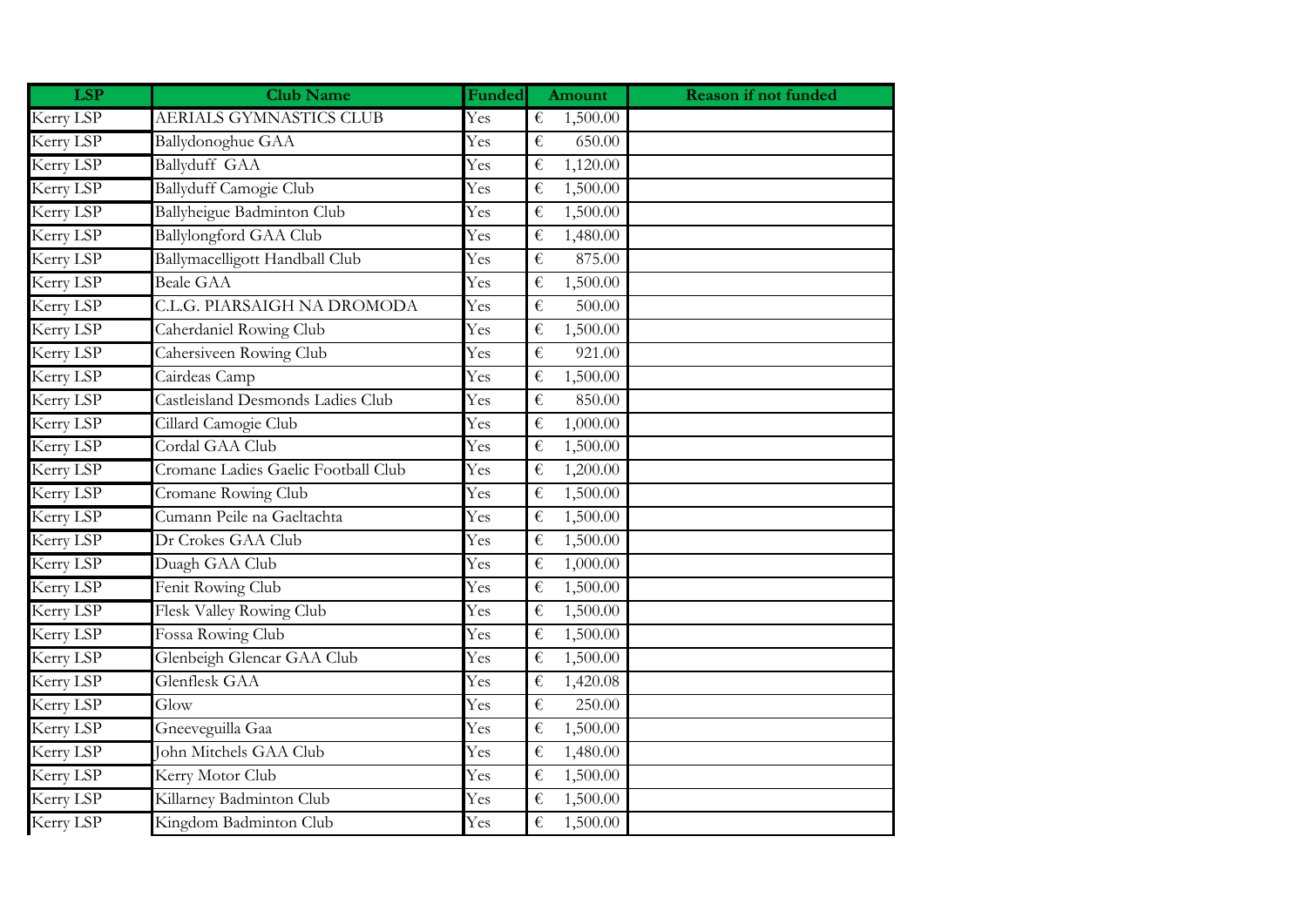| <b>LSP</b> | <b>Club Name</b>                    | Funded | <b>Amount</b> | <b>Reason if not funded</b> |
|------------|-------------------------------------|--------|---------------|-----------------------------|
| Kerry LSP  | AERIALS GYMNASTICS CLUB             | Yes    | 1,500.00<br>€ |                             |
| Kerry LSP  | Ballydonoghue GAA                   | Yes    | 650.00<br>€   |                             |
| Kerry LSP  | Ballyduff GAA                       | Yes    | €<br>1,120.00 |                             |
| Kerry LSP  | <b>Ballyduff Camogie Club</b>       | Yes    | €<br>1,500.00 |                             |
| Kerry LSP  | Ballyheigue Badminton Club          | Yes    | €<br>1,500.00 |                             |
| Kerry LSP  | <b>Ballylongford GAA Club</b>       | Yes    | €<br>1,480.00 |                             |
| Kerry LSP  | Ballymacelligott Handball Club      | Yes    | €<br>875.00   |                             |
| Kerry LSP  | <b>Beale GAA</b>                    | Yes    | 1,500.00<br>€ |                             |
| Kerry LSP  | C.L.G. PIARSAIGH NA DROMODA         | Yes    | €<br>500.00   |                             |
| Kerry LSP  | Caherdaniel Rowing Club             | Yes    | €<br>1,500.00 |                             |
| Kerry LSP  | Cahersiveen Rowing Club             | Yes    | €<br>921.00   |                             |
| Kerry LSP  | Cairdeas Camp                       | Yes    | €<br>1,500.00 |                             |
| Kerry LSP  | Castleisland Desmonds Ladies Club   | Yes    | €<br>850.00   |                             |
| Kerry LSP  | Cillard Camogie Club                | Yes    | 1,000.00<br>€ |                             |
| Kerry LSP  | Cordal GAA Club                     | Yes    | €<br>1,500.00 |                             |
| Kerry LSP  | Cromane Ladies Gaelic Football Club | Yes    | €<br>1,200.00 |                             |
| Kerry LSP  | Cromane Rowing Club                 | Yes    | €<br>1,500.00 |                             |
| Kerry LSP  | Cumann Peile na Gaeltachta          | Yes    | €<br>1,500.00 |                             |
| Kerry LSP  | Dr Crokes GAA Club                  | Yes    | €<br>1,500.00 |                             |
| Kerry LSP  | Duagh GAA Club                      | Yes    | €<br>1,000.00 |                             |
| Kerry LSP  | Fenit Rowing Club                   | Yes    | €<br>1,500.00 |                             |
| Kerry LSP  | Flesk Valley Rowing Club            | Yes    | €<br>1,500.00 |                             |
| Kerry LSP  | Fossa Rowing Club                   | Yes    | €<br>1,500.00 |                             |
| Kerry LSP  | Glenbeigh Glencar GAA Club          | Yes    | €<br>1,500.00 |                             |
| Kerry LSP  | Glenflesk GAA                       | Yes    | 1,420.08<br>€ |                             |
| Kerry LSP  | Glow                                | Yes    | €<br>250.00   |                             |
| Kerry LSP  | Gneeveguilla Gaa                    | Yes    | €<br>1,500.00 |                             |
| Kerry LSP  | John Mitchels GAA Club              | Yes    | €<br>1,480.00 |                             |
| Kerry LSP  | Kerry Motor Club                    | Yes    | €<br>1,500.00 |                             |
| Kerry LSP  | Killarney Badminton Club            | Yes    | €<br>1,500.00 |                             |
| Kerry LSP  | Kingdom Badminton Club              | Yes    | €<br>1,500.00 |                             |